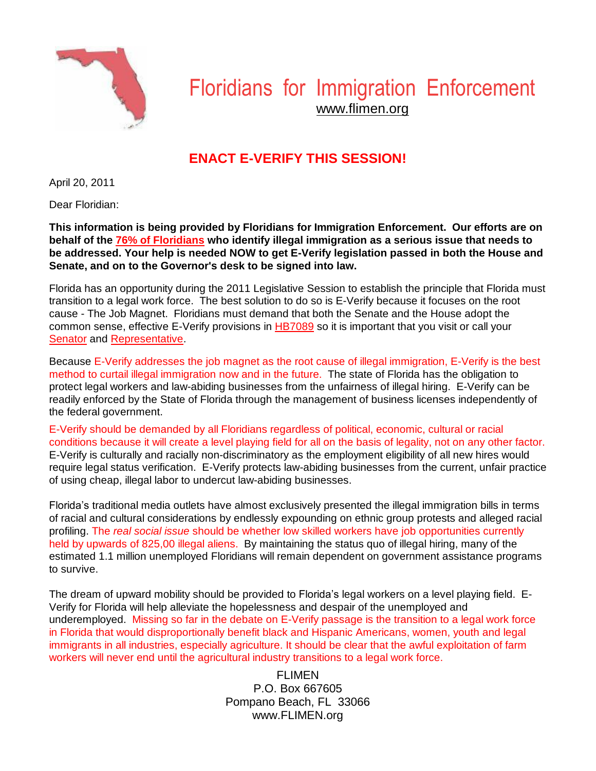

# Floridians for Immigration Enforcement www.flimen.org

## **ENACT E-VERIFY THIS SESSION!**

April 20, 2011

Dear Floridian:

**This information is being provided by Floridians for Immigration Enforcement. Our efforts are on behalf of the [76% of Floridians](http://www.flimen.org/images/SunshineStateSurvey-Immigration.pdf) who identify illegal immigration as a serious issue that needs to be addressed. Your help is needed NOW to get E-Verify legislation passed in both the House and Senate, and on to the Governor's desk to be signed into law.**

Florida has an opportunity during the 2011 Legislative Session to establish the principle that Florida must transition to a legal work force. The best solution to do so is E-Verify because it focuses on the root cause - The Job Magnet. Floridians must demand that both the Senate and the House adopt the common sense, effective E-Verify provisions in [HB7089](http://www.myfloridahouse.gov/Sections/Bills/billsdetail.aspx?BillId=46685&SessionId=66http://www.myfloridahouse.gov/Sections/Bills/billsdetail.aspx?BillId=46685&SessionId=66) so it is important that you visit or call your [Senator](http://www.flsenate.gov/Senators/#Senatorshttp://www.flsenate.gov/Senators/) and [Representative.](http://www.myfloridahouse.gov/Sections/Representatives/representatives.aspxhttp:/www.myfloridahouse.gov/Sections/Representatives/representatives.aspx)

Because E-Verify addresses the job magnet as the root cause of illegal immigration, E-Verify is the best method to curtail illegal immigration now and in the future. The state of Florida has the obligation to protect legal workers and law-abiding businesses from the unfairness of illegal hiring. E-Verify can be readily enforced by the State of Florida through the management of business licenses independently of the federal government.

E-Verify should be demanded by all Floridians regardless of political, economic, cultural or racial conditions because it will create a level playing field for all on the basis of legality, not on any other factor. E-Verify is culturally and racially non-discriminatory as the employment eligibility of all new hires would require legal status verification. E-Verify protects law-abiding businesses from the current, unfair practice of using cheap, illegal labor to undercut law-abiding businesses.

Florida's traditional media outlets have almost exclusively presented the illegal immigration bills in terms of racial and cultural considerations by endlessly expounding on ethnic group protests and alleged racial profiling. The *real social issue* should be whether low skilled workers have job opportunities currently held by upwards of 825,00 illegal aliens. By maintaining the status quo of illegal hiring, many of the estimated 1.1 million unemployed Floridians will remain dependent on government assistance programs to survive.

The dream of upward mobility should be provided to Florida's legal workers on a level playing field. E-Verify for Florida will help alleviate the hopelessness and despair of the unemployed and underemployed. Missing so far in the debate on E-Verify passage is the transition to a legal work force in Florida that would disproportionally benefit black and Hispanic Americans, women, youth and legal immigrants in all industries, especially agriculture. It should be clear that the awful exploitation of farm workers will never end until the agricultural industry transitions to a legal work force.

> FI IMFN P.O. Box 667605 Pompano Beach, FL 33066 www.FLIMEN.org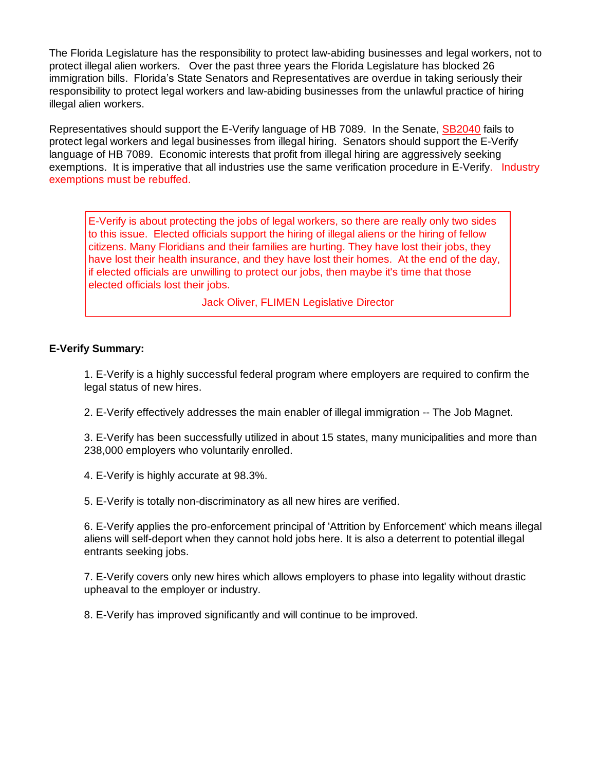The Florida Legislature has the responsibility to protect law-abiding businesses and legal workers, not to protect illegal alien workers. Over the past three years the Florida Legislature has blocked 26 immigration bills. Florida's State Senators and Representatives are overdue in taking seriously their responsibility to protect legal workers and law-abiding businesses from the unlawful practice of hiring illegal alien workers.

Representatives should support the E-Verify language of HB 7089. In the Senate, [SB2040](http://www.flsenate.gov/Session/Bill/2011/2040http:/www.flsenate.gov/Session/Bill/2011/2040) fails to protect legal workers and legal businesses from illegal hiring. Senators should support the E-Verify language of HB 7089. Economic interests that profit from illegal hiring are aggressively seeking exemptions. It is imperative that all industries use the same verification procedure in E-Verify. Industry exemptions must be rebuffed.

E-Verify is about protecting the jobs of legal workers, so there are really only two sides to this issue. Elected officials support the hiring of illegal aliens or the hiring of fellow citizens. Many Floridians and their families are hurting. They have lost their jobs, they have lost their health insurance, and they have lost their homes. At the end of the day, if elected officials are unwilling to protect our jobs, then maybe it's time that those elected officials lost their jobs.

Jack Oliver, FLIMEN Legislative Director

#### **E-Verify Summary:**

1. E-Verify is a highly successful federal program where employers are required to confirm the legal status of new hires.

2. E-Verify effectively addresses the main enabler of illegal immigration -- The Job Magnet.

3. E-Verify has been successfully utilized in about 15 states, many municipalities and more than 238,000 employers who voluntarily enrolled.

4. E-Verify is highly accurate at 98.3%.

5. E-Verify is totally non-discriminatory as all new hires are verified.

6. E-Verify applies the pro-enforcement principal of 'Attrition by Enforcement' which means illegal aliens will self-deport when they cannot hold jobs here. It is also a deterrent to potential illegal entrants seeking jobs.

7. E-Verify covers only new hires which allows employers to phase into legality without drastic upheaval to the employer or industry.

8. E-Verify has improved significantly and will continue to be improved.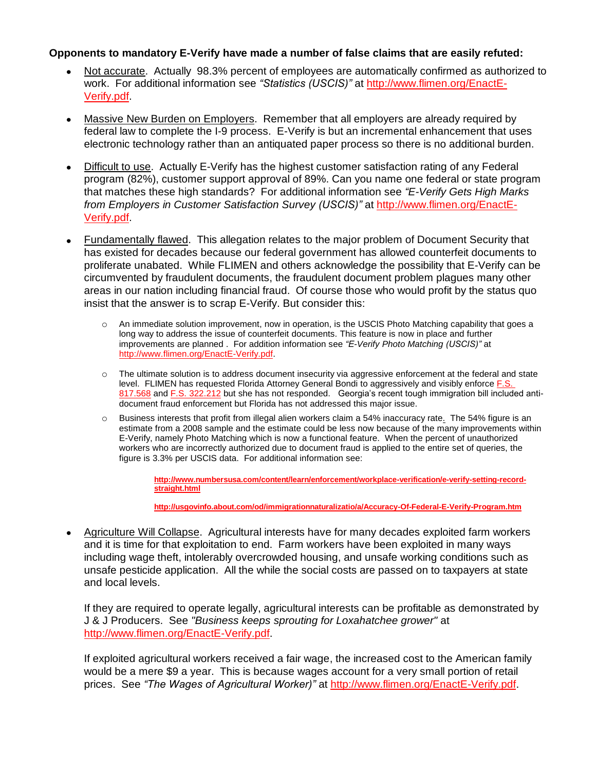#### **Opponents to mandatory E-Verify have made a number of false claims that are easily refuted:**

- Not accurate. Actually 98.3% percent of employees are automatically confirmed as authorized to work. For additional information see *"Statistics (USCIS)"* at [http://www.flimen.org/EnactE-](http://www.flimen.org/EnactE-Verify.pdf)[Verify.pdf.](http://www.flimen.org/EnactE-Verify.pdf)
- Massive New Burden on Employers. Remember that all employers are already required by  $\bullet$ federal law to complete the I-9 process. E-Verify is but an incremental enhancement that uses electronic technology rather than an antiquated paper process so there is no additional burden.
- Difficult to use. Actually E-Verify has the highest customer satisfaction rating of any Federal program (82%), customer support approval of 89%. Can you name one federal or state program that matches these high standards? For additional information see *"E-Verify Gets High Marks from Employers in Customer Satisfaction Survey (USCIS)"* at [http://www.flimen.org/EnactE-](http://www.flimen.org/EnactE-Verify.pdf)[Verify.pdf.](http://www.flimen.org/EnactE-Verify.pdf)
- Fundamentally flawed. This allegation relates to the major problem of Document Security that  $\bullet$ has existed for decades because our federal government has allowed counterfeit documents to proliferate unabated. While FLIMEN and others acknowledge the possibility that E-Verify can be circumvented by fraudulent documents, the fraudulent document problem plagues many other areas in our nation including financial fraud. Of course those who would profit by the status quo insist that the answer is to scrap E-Verify. But consider this:
	- An immediate solution improvement, now in operation, is the USCIS Photo Matching capability that goes a long way to address the issue of counterfeit documents. This feature is now in place and further improvements are planned . For addition information see *"E-Verify Photo Matching (USCIS)"* at [http://www.flimen.org/EnactE-Verify.pdf.](http://www.flimen.org/EnactE-Verify.pdf)
	- o The ultimate solution is to address document insecurity via aggressive enforcement at the federal and state level. FLIMEN has requested Florida Attorney General Bondi to aggressively and visibly enforce [F.S.](http://www.myfloridahouse.gov/filestores/web/statutes/fs07/ch0322/Section_0322.212.HTMhttp:/www.myfloridahouse.gov/filestores/web/statutes/fs07/ch0817/Section_0817.568.HTM) [817.568](http://www.myfloridahouse.gov/filestores/web/statutes/fs07/ch0322/Section_0322.212.HTMhttp:/www.myfloridahouse.gov/filestores/web/statutes/fs07/ch0817/Section_0817.568.HTM) and F.S. [322.212](http://www.myfloridahouse.gov/filestores/web/statutes/fs07/ch0322/Section_0322.212.HTMhttp:/www.myfloridahouse.gov/filestores/web/statutes/fs07/ch0817/Section_0817.568.HTM) but she has not responded. Georgia's recent tough immigration bill included antidocument fraud enforcement but Florida has not addressed this major issue.
	- o Business interests that profit from illegal alien workers claim a 54% inaccuracy rate. The 54% figure is an estimate from a 2008 sample and the estimate could be less now because of the many improvements within E-Verify, namely Photo Matching which is now a functional feature. When the percent of unauthorized workers who are incorrectly authorized due to document fraud is applied to the entire set of queries, the figure is 3.3% per USCIS data. For additional information see:

**[http://www.numbersusa.com/content/learn/enforcement/workplace-verification/e-verify-setting-record](http://www.numbersusa.com/content/learn/enforcement/workplace-verification/e-verify-setting-record-straight.html)[straight.html](http://www.numbersusa.com/content/learn/enforcement/workplace-verification/e-verify-setting-record-straight.html)**

**<http://usgovinfo.about.com/od/immigrationnaturalizatio/a/Accuracy-Of-Federal-E-Verify-Program.htm>**

Agriculture Will Collapse. Agricultural interests have for many decades exploited farm workers and it is time for that exploitation to end. Farm workers have been exploited in many ways including wage theft, intolerably overcrowded housing, and unsafe working conditions such as unsafe pesticide application. All the while the social costs are passed on to taxpayers at state and local levels.

If they are required to operate legally, agricultural interests can be profitable as demonstrated by J & J Producers. See *"Business keeps sprouting for Loxahatchee grower"* at [http://www.flimen.org/EnactE-Verify.pdf.](http://www.flimen.org/EnactE-Verify.pdf)

If exploited agricultural workers received a fair wage, the increased cost to the American family would be a mere \$9 a year. This is because wages account for a very small portion of retail prices. See *"The Wages of Agricultural Worker)"* at [http://www.flimen.org/EnactE-Verify.pdf.](http://www.flimen.org/EnactE-Verify.pdf)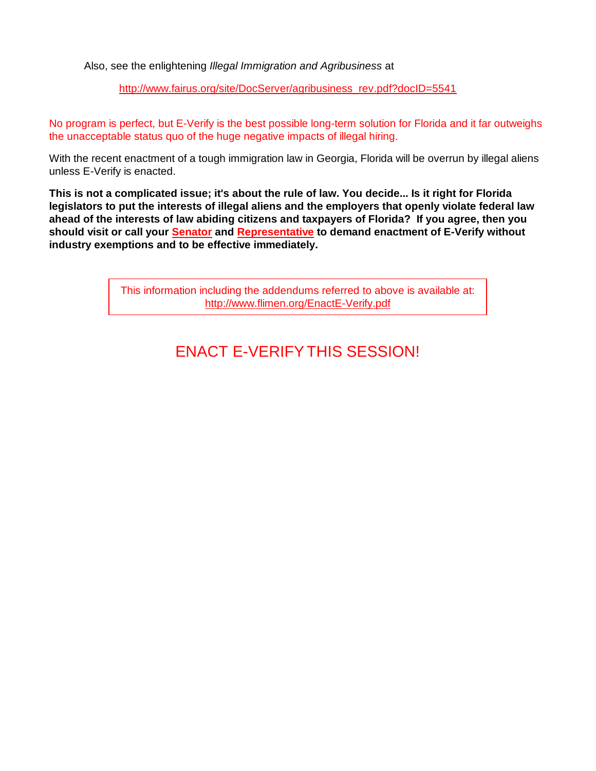Also, see the enlightening *Illegal Immigration and Agribusiness* at

[http://www.fairus.org/site/DocServer/agribusiness\\_rev.pdf?docID=5541](http://www.fairus.org/site/DocServer/agribusiness_rev.pdf?docID=5541)

No program is perfect, but E-Verify is the best possible long-term solution for Florida and it far outweighs the unacceptable status quo of the huge negative impacts of illegal hiring.

With the recent enactment of a tough immigration law in Georgia, Florida will be overrun by illegal aliens unless E-Verify is enacted.

**This is not a complicated issue; it's about the rule of law. You decide... Is it right for Florida legislators to put the interests of illegal aliens and the employers that openly violate federal law ahead of the interests of law abiding citizens and taxpayers of Florida? If you agree, then you should visit or call your [Senator](http://www.flsenate.gov/Senators/#Senatorshttp://www.flsenate.gov/Senators/) and [Representative](http://www.myfloridahouse.gov/Sections/Representatives/representatives.aspxhttp:/www.myfloridahouse.gov/Sections/Representatives/representatives.aspx) to demand enactment of E-Verify without industry exemptions and to be effective immediately.**

> This information including the addendums referred to above is available at: <http://www.flimen.org/EnactE-Verify.pdf>

## ENACT E-VERIFYTHIS SESSION!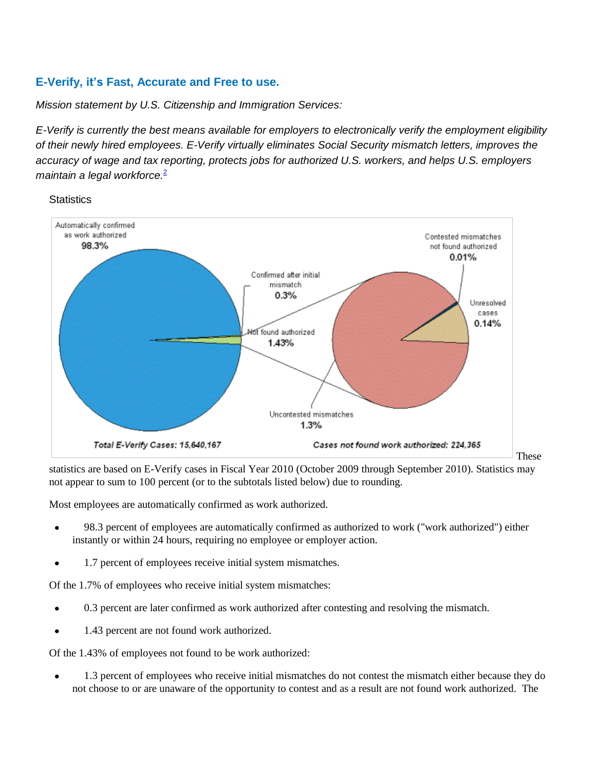## **E-Verify, it's Fast, Accurate and Free to use.**

**Statistics** 

*Mission statement by U.S. Citizenship and Immigration Services:*

*E-Verify is currently the best means available for employers to electronically verify the employment eligibility of their newly hired employees. E-Verify virtually eliminates Social Security mismatch letters, improves the accuracy of wage and tax reporting, protects jobs for authorized U.S. workers, and helps U.S. employers maintain a legal workforce.*[2](http://www.cis.org/Testimony/E-Verify-ChallengesAndOpportunities#2)



statistics are based on E-Verify cases in Fiscal Year 2010 (October 2009 through September 2010). Statistics may not appear to sum to 100 percent (or to the subtotals listed below) due to rounding.

Most employees are automatically confirmed as work authorized.

- 98.3 percent of employees are automatically confirmed as authorized to work ("work authorized") either instantly or within 24 hours, requiring no employee or employer action.
- 1.7 percent of employees receive initial system mismatches.

Of the 1.7% of employees who receive initial system mismatches:

- 0.3 percent are later confirmed as work authorized after contesting and resolving the mismatch.
- 1.43 percent are not found work authorized.

Of the 1.43% of employees not found to be work authorized:

1.3 percent of employees who receive initial mismatches do not contest the mismatch either because they do not choose to or are unaware of the opportunity to contest and as a result are not found work authorized. The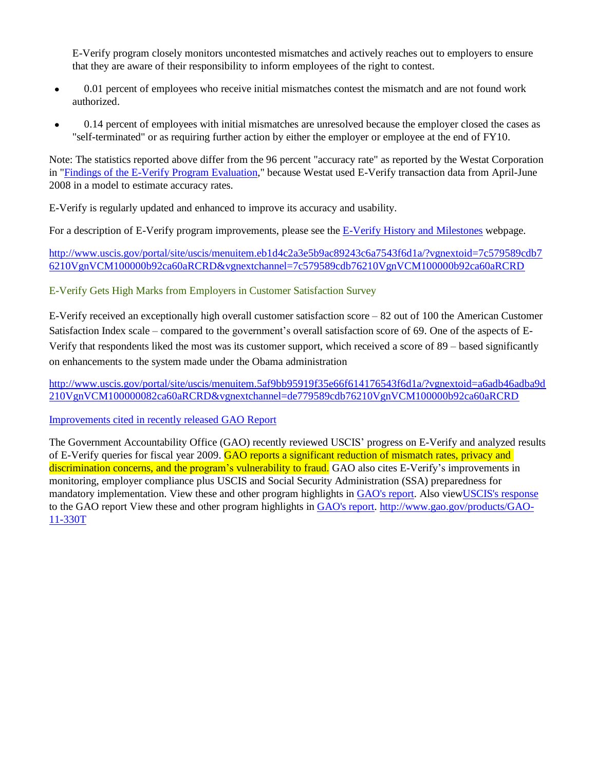E-Verify program closely monitors uncontested mismatches and actively reaches out to employers to ensure that they are aware of their responsibility to inform employees of the right to contest.

- 0.01 percent of employees who receive initial mismatches contest the mismatch and are not found work  $\bullet$ authorized.
- 0.14 percent of employees with initial mismatches are unresolved because the employer closed the cases as "self-terminated" or as requiring further action by either the employer or employee at the end of FY10.

Note: The statistics reported above differ from the 96 percent "accuracy rate" as reported by the Westat Corporation in "Findings of the E-Verify Program [Evaluation,](http://www.uscis.gov/USCIS/E-Verify/E-Verify/Final%20E-Verify%20Report%2012-16-09_2.pdf)" because Westat used E-Verify transaction data from April-June 2008 in a model to estimate accuracy rates.

E-Verify is regularly updated and enhanced to improve its accuracy and usability.

For a description of E-Verify program improvements, please see the E-Verify History and [Milestones](http://www.uscis.gov/portal/site/uscis/menuitem.eb1d4c2a3e5b9ac89243c6a7543f6d1a/?vgnextoid=75bce2e261405110VgnVCM1000004718190aRCRD&vgnextchannel=75bce2e261405110VgnVCM1000004718190aRCRD) webpage.

[http://www.uscis.gov/portal/site/uscis/menuitem.eb1d4c2a3e5b9ac89243c6a7543f6d1a/?vgnextoid=7c579589cdb7](http://www.uscis.gov/portal/site/uscis/menuitem.eb1d4c2a3e5b9ac89243c6a7543f6d1a/?vgnextoid=7c579589cdb76210VgnVCM100000b92ca60aRCRD&vgnextchannel=7c579589cdb76210VgnVCM100000b92ca60aRCRD) [6210VgnVCM100000b92ca60aRCRD&vgnextchannel=7c579589cdb76210VgnVCM100000b92ca60aRCRD](http://www.uscis.gov/portal/site/uscis/menuitem.eb1d4c2a3e5b9ac89243c6a7543f6d1a/?vgnextoid=7c579589cdb76210VgnVCM100000b92ca60aRCRD&vgnextchannel=7c579589cdb76210VgnVCM100000b92ca60aRCRD)

E-Verify Gets High Marks from Employers in Customer Satisfaction Survey

E-Verify received an exceptionally high overall customer satisfaction score – 82 out of 100 the American Customer Satisfaction Index scale – compared to the government's overall satisfaction score of 69. One of the aspects of E-Verify that respondents liked the most was its customer support, which received a score of 89 – based significantly on enhancements to the system made under the Obama administration

[http://www.uscis.gov/portal/site/uscis/menuitem.5af9bb95919f35e66f614176543f6d1a/?vgnextoid=a6adb46adba9d](http://www.uscis.gov/portal/site/uscis/menuitem.5af9bb95919f35e66f614176543f6d1a/?vgnextoid=a6adb46adba9d210VgnVCM100000082ca60aRCRD&vgnextchannel=de779589cdb76210VgnVCM100000b92ca60aRCRD) [210VgnVCM100000082ca60aRCRD&vgnextchannel=de779589cdb76210VgnVCM100000b92ca60aRCRD](http://www.uscis.gov/portal/site/uscis/menuitem.5af9bb95919f35e66f614176543f6d1a/?vgnextoid=a6adb46adba9d210VgnVCM100000082ca60aRCRD&vgnextchannel=de779589cdb76210VgnVCM100000b92ca60aRCRD)

[Improvements](http://www.uscis.gov/portal/site/uscis/menuitem.5af9bb95919f35e66f614176543f6d1a/?vgnextoid=a6adb46adba9d210VgnVCM100000082ca60aRCRD&vgnextchannel=68439c7755cb9010VgnVCM10000045f3d6a1RCRD) cited in recently released GAO Report

The Government Accountability Office (GAO) recently reviewed USCIS' progress on E-Verify and analyzed results of E-Verify queries for fiscal year 2009. GAO reports a significant reduction of mismatch rates, privacy and discrimination concerns, and the program's vulnerability to fraud. GAO also cites E-Verify's improvements in monitoring, employer compliance plus USCIS and Social Security Administration (SSA) preparedness for mandatory implementation. View these and other program highlights in [GAO's](http://www.gao.gov/new.items/d11146.pdf) report. Also vie[wUSCIS's](http://www.uscis.gov/USCIS/Resources/Reports/E-Verify/E-Verify-Response-GAO-11-146.pdf) response to the GAO report View these and other program highlights in [GAO's](http://www.gao.gov/new.items/d11146.pdf) report. [http://www.gao.gov/products/GAO-](http://www.gao.gov/products/GAO-11-330T)[11-330T](http://www.gao.gov/products/GAO-11-330T)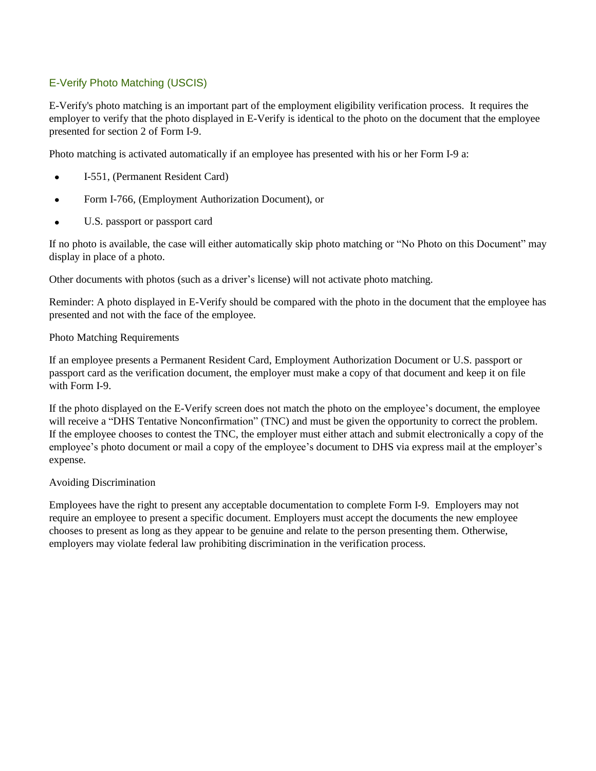### E-Verify Photo Matching (USCIS)

E-Verify's photo matching is an important part of the employment eligibility verification process. It requires the employer to verify that the photo displayed in E-Verify is identical to the photo on the document that the employee presented for section 2 of Form I-9.

Photo matching is activated automatically if an employee has presented with his or her Form I-9 a:

- I-551, (Permanent Resident Card)
- Form I-766, (Employment Authorization Document), or  $\bullet$
- U.S. passport or passport card  $\bullet$

If no photo is available, the case will either automatically skip photo matching or "No Photo on this Document" may display in place of a photo.

Other documents with photos (such as a driver's license) will not activate photo matching.

Reminder: A photo displayed in E-Verify should be compared with the photo in the document that the employee has presented and not with the face of the employee.

#### Photo Matching Requirements

If an employee presents a Permanent Resident Card, Employment Authorization Document or U.S. passport or passport card as the verification document, the employer must make a copy of that document and keep it on file with Form I-9.

If the photo displayed on the E-Verify screen does not match the photo on the employee's document, the employee will receive a "DHS Tentative Nonconfirmation" (TNC) and must be given the opportunity to correct the problem. If the employee chooses to contest the TNC, the employer must either attach and submit electronically a copy of the employee's photo document or mail a copy of the employee's document to DHS via express mail at the employer's expense.

#### Avoiding Discrimination

Employees have the right to present any acceptable documentation to complete Form I-9. Employers may not require an employee to present a specific document. Employers must accept the documents the new employee chooses to present as long as they appear to be genuine and relate to the person presenting them. Otherwise, employers may violate federal law prohibiting discrimination in the verification process.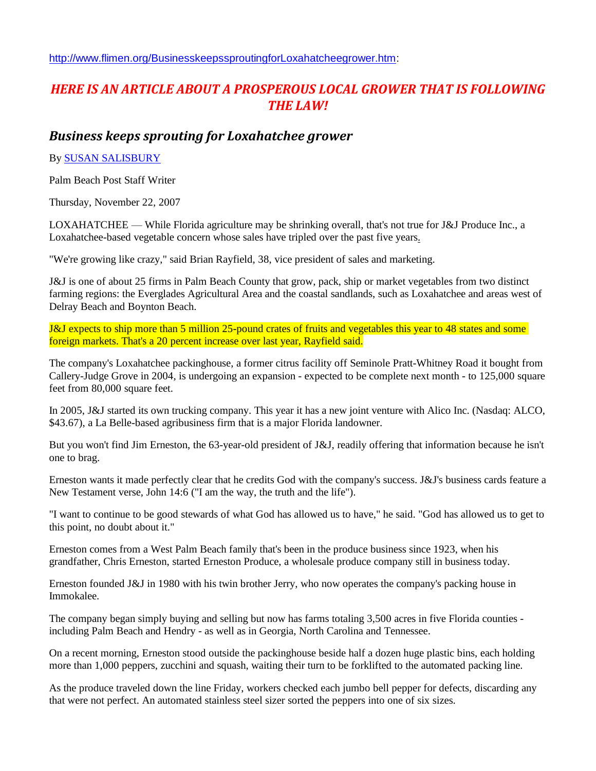[http://www.flimen.org/BusinesskeepssproutingforLoxahatcheegrower.htm:](http://www.flimen.org/BusinesskeepssproutingforLoxahatcheegrower.htm)

## *HERE IS AN ARTICLE ABOUT A PROSPEROUS LOCAL GROWER THAT IS FOLLOWING THE LAW!*

## *Business keeps sprouting for Loxahatchee grower*

#### By SUSAN [SALISBURY](mailto:susan_salisbury@pbpost.com)

Palm Beach Post Staff Writer

Thursday, November 22, 2007

LOXAHATCHEE — While Florida agriculture may be shrinking overall, that's not true for J&J Produce Inc., a Loxahatchee-based vegetable concern whose sales have tripled over the past five years.

"We're growing like crazy," said Brian Rayfield, 38, vice president of sales and marketing.

J&J is one of about 25 firms in Palm Beach County that grow, pack, ship or market vegetables from two distinct farming regions: the Everglades Agricultural Area and the coastal sandlands, such as Loxahatchee and areas west of Delray Beach and Boynton Beach.

J&J expects to ship more than 5 million 25-pound crates of fruits and vegetables this year to 48 states and some foreign markets. That's a 20 percent increase over last year, Rayfield said.

The company's Loxahatchee packinghouse, a former citrus facility off Seminole Pratt-Whitney Road it bought from Callery-Judge Grove in 2004, is undergoing an expansion - expected to be complete next month - to 125,000 square feet from 80,000 square feet.

In 2005, J&J started its own trucking company. This year it has a new joint venture with Alico Inc. (Nasdaq: ALCO, \$43.67), a La Belle-based agribusiness firm that is a major Florida landowner.

But you won't find Jim Erneston, the 63-year-old president of J&J, readily offering that information because he isn't one to brag.

Erneston wants it made perfectly clear that he credits God with the company's success. J&J's business cards feature a New Testament verse, John 14:6 ("I am the way, the truth and the life").

"I want to continue to be good stewards of what God has allowed us to have," he said. "God has allowed us to get to this point, no doubt about it."

Erneston comes from a West Palm Beach family that's been in the produce business since 1923, when his grandfather, Chris Erneston, started Erneston Produce, a wholesale produce company still in business today.

Erneston founded J&J in 1980 with his twin brother Jerry, who now operates the company's packing house in Immokalee.

The company began simply buying and selling but now has farms totaling 3,500 acres in five Florida counties including Palm Beach and Hendry - as well as in Georgia, North Carolina and Tennessee.

On a recent morning, Erneston stood outside the packinghouse beside half a dozen huge plastic bins, each holding more than 1,000 peppers, zucchini and squash, waiting their turn to be forklifted to the automated packing line.

As the produce traveled down the line Friday, workers checked each jumbo bell pepper for defects, discarding any that were not perfect. An automated stainless steel sizer sorted the peppers into one of six sizes.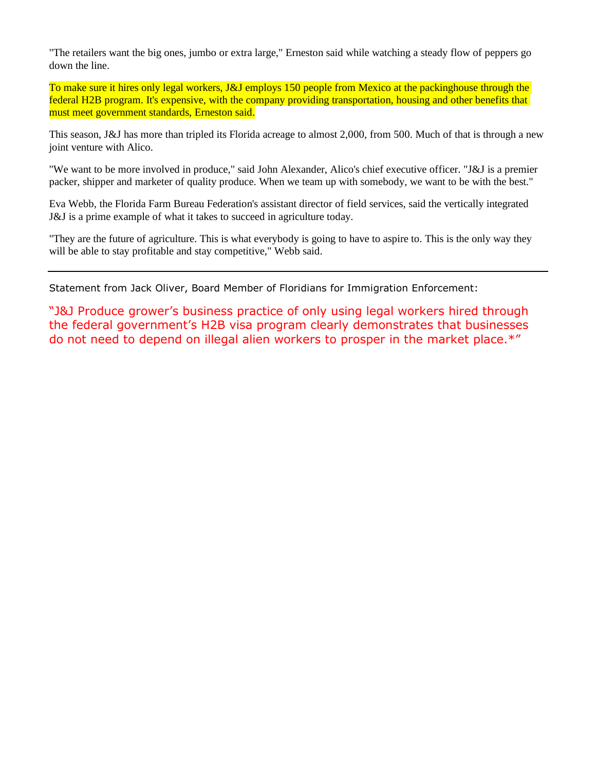"The retailers want the big ones, jumbo or extra large," Erneston said while watching a steady flow of peppers go down the line.

To make sure it hires only legal workers, J&J employs 150 people from Mexico at the packinghouse through the federal H2B program. It's expensive, with the company providing transportation, housing and other benefits that must meet government standards, Erneston said.

This season, J&J has more than tripled its Florida acreage to almost 2,000, from 500. Much of that is through a new joint venture with Alico.

"We want to be more involved in produce," said John Alexander, Alico's chief executive officer. "J&J is a premier packer, shipper and marketer of quality produce. When we team up with somebody, we want to be with the best."

Eva Webb, the Florida Farm Bureau Federation's assistant director of field services, said the vertically integrated J&J is a prime example of what it takes to succeed in agriculture today.

"They are the future of agriculture. This is what everybody is going to have to aspire to. This is the only way they will be able to stay profitable and stay competitive," Webb said.

Statement from Jack Oliver, Board Member of Floridians for Immigration Enforcement:

"J&J Produce grower's business practice of only using legal workers hired through the federal government's H2B visa program clearly demonstrates that businesses do not need to depend on illegal alien workers to prosper in the market place.\*"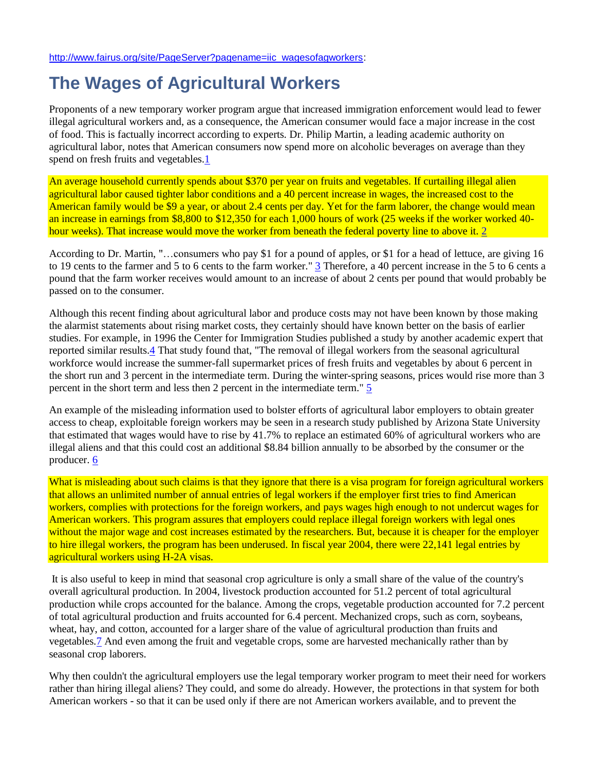[http://www.fairus.org/site/PageServer?pagename=iic\\_wagesofagworkers:](http://www.fairus.org/site/PageServer?pagename=iic_wagesofagworkers)

# **The Wages of Agricultural Workers**

Proponents of a new temporary worker program argue that increased immigration enforcement would lead to fewer illegal agricultural workers and, as a consequence, the American consumer would face a major increase in the cost of food. This is factually incorrect according to experts. Dr. Philip Martin, a leading academic authority on agricultural labor, notes that American consumers now spend more on alcoholic beverages on average than they spend on fresh fruits and vegetables[.1](http://www.fairus.org/site/PageServer?pagename=iic_wagesofagworkers&printer_friendly=1#1)

An average household currently spends about \$370 per year on fruits and vegetables. If curtailing illegal alien agricultural labor caused tighter labor conditions and a 40 percent increase in wages, the increased cost to the American family would be \$9 a year, or about 2.4 cents per day. Yet for the farm laborer, the change would mean an increase in earnings from \$8,800 to \$12,350 for each 1,000 hours of work (25 weeks if the worker worked 40 hour weeks). That increase would move the worker from beneath the federal poverty line to above it. [2](http://www.fairus.org/site/PageServer?pagename=iic_wagesofagworkers&printer_friendly=1#2)

According to Dr. Martin, "…consumers who pay \$1 for a pound of apples, or \$1 for a head of lettuce, are giving 16 to 19 cents to the farmer and 5 to 6 cents to the farm worker."  $\frac{3}{2}$  $\frac{3}{2}$  $\frac{3}{2}$  Therefore, a 40 percent increase in the 5 to 6 cents a pound that the farm worker receives would amount to an increase of about 2 cents per pound that would probably be passed on to the consumer.

Although this recent finding about agricultural labor and produce costs may not have been known by those making the alarmist statements about rising market costs, they certainly should have known better on the basis of earlier studies. For example, in 1996 the Center for Immigration Studies published a study by another academic expert that reported similar results[.4](http://www.fairus.org/site/PageServer?pagename=iic_wagesofagworkers&printer_friendly=1#4) That study found that, "The removal of illegal workers from the seasonal agricultural workforce would increase the summer-fall supermarket prices of fresh fruits and vegetables by about 6 percent in the short run and 3 percent in the intermediate term. During the winter-spring seasons, prices would rise more than 3 percent in the short term and less then 2 percent in the intermediate term." [5](http://www.fairus.org/site/PageServer?pagename=iic_wagesofagworkers&printer_friendly=1#5)

An example of the misleading information used to bolster efforts of agricultural labor employers to obtain greater access to cheap, exploitable foreign workers may be seen in a research study published by Arizona State University that estimated that wages would have to rise by 41.7% to replace an estimated 60% of agricultural workers who are illegal aliens and that this could cost an additional \$8.84 billion annually to be absorbed by the consumer or the producer. [6](http://www.fairus.org/site/PageServer?pagename=iic_wagesofagworkers&printer_friendly=1#6a)

What is misleading about such claims is that they ignore that there is a visa program for foreign agricultural workers that allows an unlimited number of annual entries of legal workers if the employer first tries to find American workers, complies with protections for the foreign workers, and pays wages high enough to not undercut wages for American workers. This program assures that employers could replace illegal foreign workers with legal ones without the major wage and cost increases estimated by the researchers. But, because it is cheaper for the employer to hire illegal workers, the program has been underused. In fiscal year 2004, there were 22,141 legal entries by agricultural workers using H-2A visas.

It is also useful to keep in mind that seasonal crop agriculture is only a small share of the value of the country's overall agricultural production. In 2004, livestock production accounted for 51.2 percent of total agricultural production while crops accounted for the balance. Among the crops, vegetable production accounted for 7.2 percent of total agricultural production and fruits accounted for 6.4 percent. Mechanized crops, such as corn, soybeans, wheat, hay, and cotton, accounted for a larger share of the value of agricultural production than fruits and vegetables[.7](http://www.fairus.org/site/PageServer?pagename=iic_wagesofagworkers&printer_friendly=1#7a) And even among the fruit and vegetable crops, some are harvested mechanically rather than by seasonal crop laborers.

Why then couldn't the agricultural employers use the legal temporary worker program to meet their need for workers rather than hiring illegal aliens? They could, and some do already. However, the protections in that system for both American workers - so that it can be used only if there are not American workers available, and to prevent the